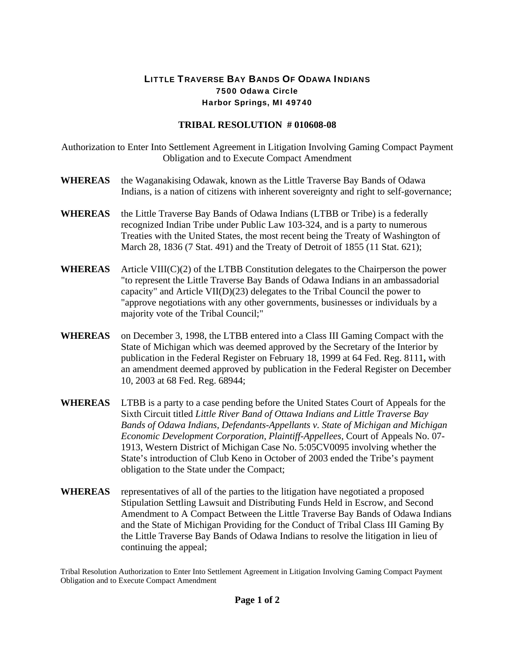## LITTLE TRAVERSE BAY BANDS OF ODAWA INDIANS 7500 Odawa Circle Harbor Springs, MI 49740

## **TRIBAL RESOLUTION # 010608-08**

Authorization to Enter Into Settlement Agreement in Litigation Involving Gaming Compact Payment Obligation and to Execute Compact Amendment

- **WHEREAS** the Waganakising Odawak, known as the Little Traverse Bay Bands of Odawa Indians, is a nation of citizens with inherent sovereignty and right to self-governance;
- **WHEREAS** the Little Traverse Bay Bands of Odawa Indians (LTBB or Tribe) is a federally recognized Indian Tribe under Public Law 103-324, and is a party to numerous Treaties with the United States, the most recent being the Treaty of Washington of March 28, 1836 (7 Stat. 491) and the Treaty of Detroit of 1855 (11 Stat. 621);
- **WHEREAS** Article VIII(C)(2) of the LTBB Constitution delegates to the Chairperson the power "to represent the Little Traverse Bay Bands of Odawa Indians in an ambassadorial capacity" and Article VII(D)(23) delegates to the Tribal Council the power to "approve negotiations with any other governments, businesses or individuals by a majority vote of the Tribal Council;"
- **WHEREAS** on December 3, 1998, the LTBB entered into a Class III Gaming Compact with the State of Michigan which was deemed approved by the Secretary of the Interior by publication in the Federal Register on February 18, 1999 at 64 Fed. Reg. 8111**,** with an amendment deemed approved by publication in the Federal Register on December 10, 2003 at 68 Fed. Reg. 68944;
- **WHEREAS** LTBB is a party to a case pending before the United States Court of Appeals for the Sixth Circuit titled *Little River Band of Ottawa Indians and Little Traverse Bay Bands of Odawa Indians, Defendants-Appellants v. State of Michigan and Michigan Economic Development Corporation, Plaintiff-Appellees,* Court of Appeals No. 07- 1913, Western District of Michigan Case No. 5:05CV0095 involving whether the State's introduction of Club Keno in October of 2003 ended the Tribe's payment obligation to the State under the Compact;
- **WHEREAS** representatives of all of the parties to the litigation have negotiated a proposed Stipulation Settling Lawsuit and Distributing Funds Held in Escrow, and Second Amendment to A Compact Between the Little Traverse Bay Bands of Odawa Indians and the State of Michigan Providing for the Conduct of Tribal Class III Gaming By the Little Traverse Bay Bands of Odawa Indians to resolve the litigation in lieu of continuing the appeal;

Tribal Resolution Authorization to Enter Into Settlement Agreement in Litigation Involving Gaming Compact Payment Obligation and to Execute Compact Amendment